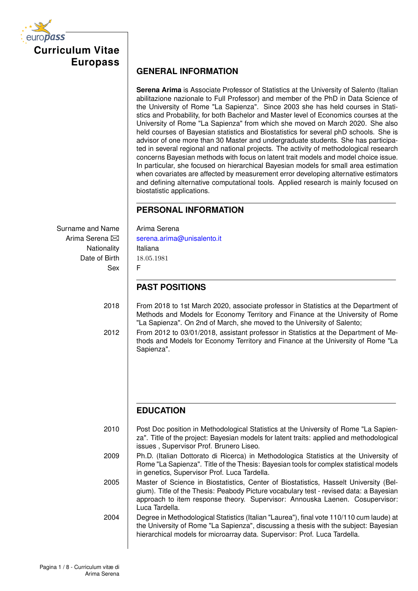**Curriculum Vitae Europass**

### **GENERAL INFORMATION**

**Serena Arima** is Associate Professor of Statistics at the University of Salento (Italian abilitazione nazionale to Full Professor) and member of the PhD in Data Science of the University of Rome "La Sapienza". Since 2003 she has held courses in Statistics and Probability, for both Bachelor and Master level of Economics courses at the University of Rome "La Sapienza" from which she moved on March 2020. She also held courses of Bayesian statistics and Biostatistics for several phD schools. She is advisor of one more than 30 Master and undergraduate students. She has participated in several regional and national projects. The activity of methodological research concerns Bayesian methods with focus on latent trait models and model choice issue. In particular, she focused on hierarchical Bayesian models for small area estimation when covariates are affected by measurement error developing alternative estimators and defining alternative computational tools. Applied research is mainly focused on biostatistic applications.

# **PERSONAL INFORMATION**

Surname and Name  $\parallel$  Arima Serena Nationality | Italiana Date of Birth 18*.*05*.*1981 Sex F

Arima Serena  $\boxtimes$  | [serena.arima@unisalento.it](mailto:INDIRIZZO%20MAIL)

# **PAST POSITIONS**

2018 From 2018 to 1st March 2020, associate professor in Statistics at the Department of Methods and Models for Economy Territory and Finance at the University of Rome "La Sapienza". On 2nd of March, she moved to the University of Salento;

2012 From 2012 to 03/01/2018, assistant professor in Statistics at the Department of Methods and Models for Economy Territory and Finance at the University of Rome "La Sapienza".

# **EDUCATION**

2010 Post Doc position in Methodological Statistics at the University of Rome "La Sapienza". Title of the project: Bayesian models for latent traits: applied and methodological issues , Supervisor Prof. Brunero Liseo.

2009 | Ph.D. (Italian Dottorato di Ricerca) in Methodologica Statistics at the University of Rome "La Sapienza". Title of the Thesis: Bayesian tools for complex statistical models in genetics, Supervisor Prof. Luca Tardella.

2005 Master of Science in Biostatistics, Center of Biostatistics, Hasselt University (Belgium). Title of the Thesis: Peabody Picture vocabulary test - revised data: a Bayesian approach to item response theory. Supervisor: Annouska Laenen. Cosupervisor: Luca Tardella.

2004 Degree in Methodological Statistics (Italian "Laurea"), final vote 110/110 cum laude) at the University of Rome "La Sapienza", discussing a thesis with the subject: Bayesian hierarchical models for microarray data. Supervisor: Prof. Luca Tardella.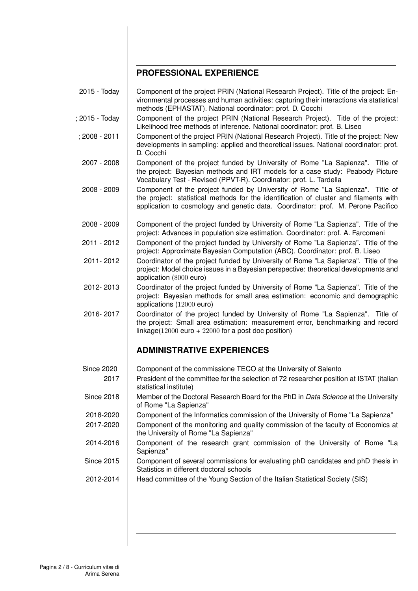### **PROFESSIONAL EXPERIENCE**

- 2015 Today Component of the project PRIN (National Research Project). Title of the project: Environmental processes and human activities: capturing their interactions via statistical methods (EPHASTAT). National coordinator: prof. D. Cocchi
- $: 2015$  Today  $\Box$  Component of the project PRIN (National Research Project). Title of the project: Likelihood free methods of inference. National coordinator: prof. B. Liseo
- ; 2008 2011 Component of the project PRIN (National Research Project). Title of the project: New developments in sampling: applied and theoretical issues. National coordinator: prof. D. Cocchi
- 2007 2008 Component of the project funded by University of Rome "La Sapienza". Title of the project: Bayesian methods and IRT models for a case study: Peabody Picture Vocabulary Test - Revised (PPVT-R). Coordinator: prof. L. Tardella
- 2008 2009 Component of the project funded by University of Rome "La Sapienza". Title of the project: statistical methods for the identification of cluster and filaments with application to cosmology and genetic data. Coordinator: prof. M. Perone Pacifico
- 2008 2009 Component of the project funded by University of Rome "La Sapienza". Title of the project: Advances in population size estimation. Coordinator: prof. A. Farcomeni
- 2011 2012 Component of the project funded by University of Rome "La Sapienza". Title of the project: Approximate Bayesian Computation (ABC). Coordinator: prof. B. Liseo
- 2011- 2012 Coordinator of the project funded by University of Rome "La Sapienza". Title of the project: Model choice issues in a Bayesian perspective: theoretical developments and application (8000 euro)
- 2012- 2013 Coordinator of the project funded by University of Rome "La Sapienza". Title of the project: Bayesian methods for small area estimation: economic and demographic applications (12000 euro)
- 2016- 2017 Coordinator of the project funded by University of Rome "La Sapienza". Title of the project: Small area estimation: measurement error, benchmarking and record linkage( $12000$  euro +  $22000$  for a post doc position)

#### **ADMINISTRATIVE EXPERIENCES**

Since 2020 Component of the commissione TECO at the University of Salento 2017 President of the committee for the selection of 72 researcher position at ISTAT (italian statistical institute) Since 2018 **Member of the Doctoral Research Board for the PhD in** *Data Science* **at the University** of Rome "La Sapienza" 2018-2020 Component of the Informatics commission of the University of Rome "La Sapienza" 2017-2020 Component of the monitoring and quality commission of the faculty of Economics at the University of Rome "La Sapienza" 2014-2016 Component of the research grant commission of the University of Rome "La Sapienza" Since 2015 Component of several commissions for evaluating phD candidates and phD thesis in Statistics in different doctoral schools 2012-2014 | Head committee of the Young Section of the Italian Statistical Society (SIS)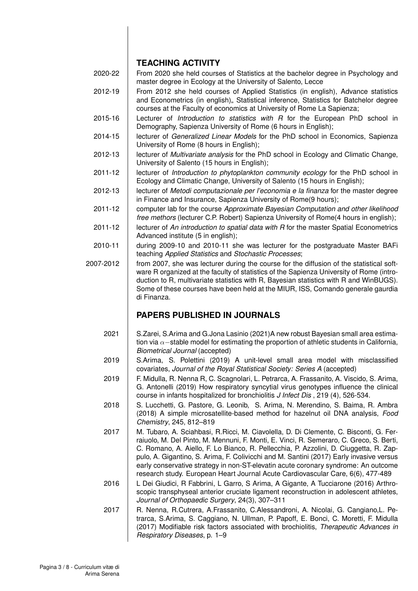#### **TEACHING ACTIVITY**

- 2020-22 From 2020 she held courses of Statistics at the bachelor degree in Psychology and master degree in Ecology at the University of Salento, Lecce
- 2012-19 From 2012 she held courses of Applied Statistics (in english), Advance statistics and Econometrics (in english), Statistical inference, Statistics for Batchelor degree courses at the Faculty of economics at University of Rome La Sapienza;
- 2015-16 Lecturer of *Introduction to statistics with R* for the European PhD school in Demography, Sapienza University of Rome (6 hours in English);
- 2014-15 lecturer of *Generalized Linear Models* for the PhD school in Economics, Sapienza University of Rome (8 hours in English);
- 2012-13 lecturer of *Multivariate analysis* for the PhD school in Ecology and Climatic Change, University of Salento (15 hours in English);
- 2011-12 **lecturer of** *Introduction to phytoplankton community ecology* **for the PhD school in** Ecology and Climatic Change, University of Salento (15 hours in English);
- 2012-13 lecturer of *Metodi computazionale per l'economia e la finanza* for the master degree in Finance and Insurance, Sapienza University of Rome(9 hours);
- 2011-12 computer lab for the course *Approximate Bayesian Computation and other likelihood free methors* (lecturer C.P. Robert) Sapienza University of Rome(4 hours in english);
- 2011-12 **lecturer of An introduction to spatial data with R for the master Spatial Econometrics** Advanced institute (5 in english);
- 2010-11 during 2009-10 and 2010-11 she was lecturer for the postgraduate Master BAFi teaching *Applied Statistics* and *Stochastic Processes*;
- 2007-2012 from 2007, she was lecturer during the course for the diffusion of the statistical software R organized at the faculty of statistics of the Sapienza University of Rome (introduction to R, multivariate statistics with R, Bayesian statistics with R and WinBUGS). Some of these courses have been held at the MIUR, ISS, Comando generale gaurdia di Finanza.

## **PAPERS PUBLISHED IN JOURNALS**

- 2021 | S.Zarei, S.Arima and G.Jona Lasinio (2021)A new robust Bayesian small area estimation via  $\alpha$ -stable model for estimating the proportion of athletic students in California, *Biometrical Journal* (accepted)
- 2019 S.Arima, S. Polettini (2019) A unit-level small area model with misclassified covariates, *Journal of the Royal Statistical Society: Series A* (accepted)
- 2019 | F. Midulla, R. Nenna R, C. Scagnolari, L. Petrarca, A. Frassanito, A. Viscido, S. Arima, G. Antonelli (2019) How respiratory syncytial virus genotypes influence the clinical course in infants hospitalized for bronchiolitis *J Infect Dis* , 219 (4), 526-534.
- 2018 | S. Lucchetti, G. Pastore, G. Leonib, S. Arima, N. Merendino, S. Baima, R. Ambra (2018) A simple microsatellite-based method for hazelnut oil DNA analysis, *Food Chemistry*, 245, 812–819
- 2017 M. Tubaro, A. Sciahbasi, R.Ricci, M. Ciavolella, D. Di Clemente, C. Bisconti, G. Ferraiuolo, M. Del Pinto, M. Mennuni, F. Monti, E. Vinci, R. Semeraro, C. Greco, S. Berti, C. Romano, A. Aiello, F. Lo Bianco, R. Pellecchia, P. Azzolini, D. Ciuggetta, R. Zappulo, A. Gigantino, S. Arima, F. Colivicchi and M. Santini (2017) Early invasive versus early conservative strategy in non-ST-elevatin acute coronary syndrome: An outcome research study. European Heart Journal Acute Cardiovascular Care, 6(6), 477-489
- 2016 | L Dei Giudici, R Fabbrini, L Garro, S Arima, A Gigante, A Tucciarone (2016) Arthroscopic transphyseal anterior cruciate ligament reconstruction in adolescent athletes, *Journal of Orthopaedic Surgery*, 24(3), 307–311
- 2017 | R. Nenna, R.Cutrera, A.Frassanito, C.Alessandroni, A. Nicolai, G. Cangiano, L. Petrarca, S.Arima, S. Caggiano, N. Ullman, P. Papoff, E. Bonci, C. Moretti, F. Midulla (2017) Modifiable risk factors associated with brochiolitis, *Therapeutic Advances in Respiratory Diseases*, p. 1–9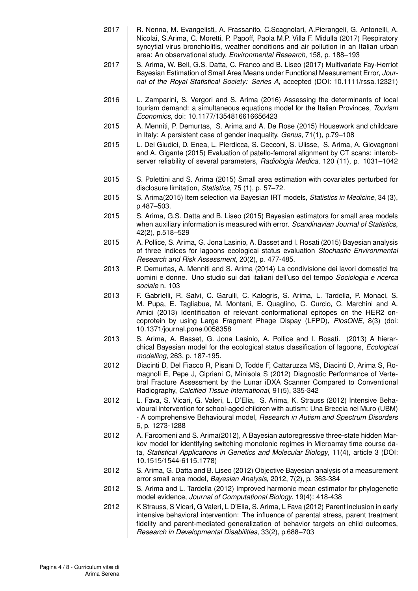- 2017 | R. Nenna, M. Evangelisti., A. Frassanito, C.Scagnolari, A.Pierangeli, G. Antonelli, A. Nicolai, S.Arima, C. Moretti, P. Papoff, Paola M.P. Villa F. Midulla (2017) Respiratory syncytial virus bronchiolitis, weather conditions and air pollution in an Italian urban area: An observational study, *Environmental Research*, 158, p. 188–193
- 2017 | S. Arima, W. Bell, G.S. Datta, C. Franco and B. Liseo (2017) Multivariate Fay-Herriot Bayesian Estimation of Small Area Means under Functional Measurement Error, *Journal of the Royal Statistical Society: Series A*, accepted (DOI: 10.1111/rssa.12321)
- 2016 | L. Zamparini, S. Vergori and S. Arima (2016) Assessing the determinants of local tourism demand: a simultaneous equations model for the Italian Provinces, *Tourism Economics*, doi: 10.1177/1354816616656423
- 2015 A. Menniti, P. Demurtas, S. Arima and A. De Rose (2015) Housework and childcare in Italy: A persistent case of gender inequality, *Genus*, 71(1), p.79–108
- 2015 L. Dei Giudici, D. Enea, L. Pierdicca, S. Cecconi, S. Ulisse, S. Arima, A. Giovagnoni and A. Gigante (2015) Evaluation of patello-femoral alignment by CT scans: interobserver reliability of several parameters, *Radiologia Medica*, 120 (11), p. 1031–1042
- 2015 | S. Polettini and S. Arima (2015) Small area estimation with covariates perturbed for disclosure limitation, *Statistica*, 75 (1), p. 57–72.
- 2015 S. Arima(2015) Item selection via Bayesian IRT models, *Statistics in Medicine*, 34 (3), p.487–503.
- 2015 | S. Arima, G.S. Datta and B. Liseo (2015) Bayesian estimators for small area models when auxiliary information is measured with error. *Scandinavian Journal of Statistics*, 42(2), p.518–529
- 2015 A. Pollice, S. Arima, G. Jona Lasinio, A. Basset and I. Rosati (2015) Bayesian analysis of three indices for lagoons ecological status evaluation *Stochastic Environmental Research and Risk Assessment*, 20(2), p. 477-485.
- 2013 | P. Demurtas, A. Menniti and S. Arima (2014) La condivisione dei lavori domestici tra uomini e donne. Uno studio sui dati italiani dell'uso del tempo *Sociologia e ricerca sociale* n. 103
- 2013 | F. Gabrielli, R. Salvi, C. Garulli, C. Kalogris, S. Arima, L. Tardella, P. Monaci, S. M. Pupa, E. Tagliabue, M. Montani, E. Quaglino, C. Curcio, C. Marchini and A. Amici (2013) Identification of relevant conformational epitopes on the HER2 oncoprotein by using Large Fragment Phage Dispay (LFPD), *PlosONE*, 8(3) (doi: 10.1371/journal.pone.0058358
- 2013 | S. Arima, A. Basset, G. Jona Lasinio, A. Pollice and I. Rosati. (2013) A hierarchical Bayesian model for the ecological status classification of lagoons, *Ecological modelling*, 263, p. 187-195.
- 2012 Diacinti D, Del Fiacco R, Pisani D, Todde F, Cattaruzza MS, Diacinti D, Arima S, Romagnoli E, Pepe J, Cipriani C, Minisola S (2012) Diagnostic Performance of Vertebral Fracture Assessment by the Lunar iDXA Scanner Compared to Conventional Radiography, *Calcified Tissue International*, 91(5), 335-342
- 2012 L. Fava, S. Vicari, G. Valeri, L. D'Elia, S. Arima, K. Strauss (2012) Intensive Behavioural intervention for school-aged children with autism: Una Breccia nel Muro (UBM) - A comprehensive Behavioural model, *Research in Autism and Spectrum Disorders* 6, p. 1273-1288
- 2012 A. Farcomeni and S. Arima(2012), A Bayesian autoregressive three-state hidden Markov model for identifying switching monotonic regimes in Microarray time course data, *Statistical Applications in Genetics and Molecular Biology*, 11(4), article 3 (DOI: 10.1515/1544-6115.1778)
- 2012 | S. Arima, G. Datta and B. Liseo (2012) Objective Bayesian analysis of a measurement error small area model, *Bayesian Analysis*, 2012, 7(2), p. 363-384
- 2012 S. Arima and L. Tardella (2012) Improved harmonic mean estimator for phylogenetic model evidence, *Journal of Computational Biology*, 19(4): 418-438
- 2012 | K Strauss, S Vicari, G Valeri, L D'Elia, S. Arima, L Fava (2012) Parent inclusion in early intensive behavioral intervention: The influence of parental stress, parent treatment fidelity and parent-mediated generalization of behavior targets on child outcomes, *Research in Developmental Disabilities*, 33(2), p.688–703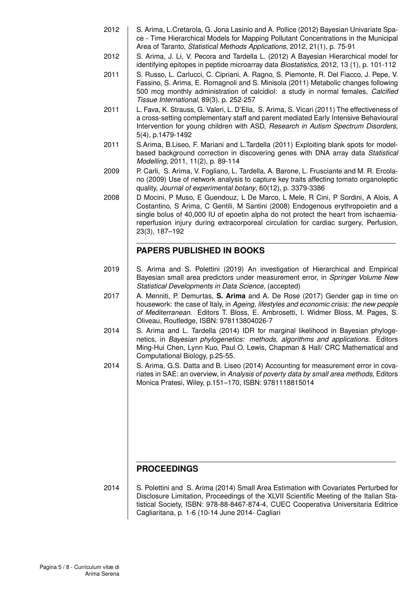- 2012 | S. Arima, L.Cretarola, G. Jona Lasinio and A. Pollice (2012) Bayesian Univariate Space - Time Hierarchical Models for Mapping Pollutant Concentrations in the Municipal Area of Taranto, *Statistical Methods Applications*, 2012, 21(1), p. 75-91
- 2012 S. Arima, J. Li, V. Pecora and Tardella L. (2012) A Bayesian Hierarchical model for identifying epitopes in peptide microarray data *Biostatistics*, 2012, 13 (1), p. 101-112
- 2011 S. Russo, L. Carlucci, C. Cipriani, A. Ragno, S. Piemonte, R. Del Fiacco, J. Pepe, V. Fassino, S. Arima, E. Romagnoli and S. Minisola (2011) Metabolic changes following 500 mcg monthly administration of calcidiol: a study in normal females, *Calcified Tissue International*, 89(3), p. 252-257
- 2011 | L. Fava, K. Strauss, G. Valeri, L. D'Elia, S. Arima, S. Vicari (2011) The effectiveness of a cross-setting complementary staff and parent mediated Early Intensive Behavioural Intervention for young children with ASD, *Research in Autism Spectrum Disorders*, 5(4), p.1479-1492
- 2011 S.Arima, B.Liseo, F. Mariani and L.Tardella (2011) Exploiting blank spots for modelbased background correction in discovering genes with DNA array data *Statistical Modelling*, 2011, 11(2), p. 89-114
- 2009 | P. Carli, S. Arima, V. Fogliano, L. Tardella, A. Barone, L. Frusciante and M. R. Ercolano (2009) Use of network analysis to capture key traits affecting tomato organoleptic quality, *Journal of experimental botany*, 60(12), p. 3379-3386
- 2008 D Mocini, P Muso, E Guendouz, L De Marco, L Mele, R Cini, P Sordini, A Alois, A Costantino, S Arima, C Gentili, M Santini (2008) Endogenous erythropoietin and a single bolus of 40,000 IU of epoetin alpha do not protect the heart from ischaemiareperfusion injury during extracorporeal circulation for cardiac surgery, Perfusion, 23(3), 187–192

### **PAPERS PUBLISHED IN BOOKS**

- 2019 | S. Arima and S. Polettini (2019) An investigation of Hierarchical and Empirical Bayesian small area predictors under measurement error, in *Springer Volume New Statistical Developments in Data Science*, (accepted)
- 2017 A. Menniti, P. Demurtas, **S. Arima** and A. De Rose (2017) Gender gap in time on housework: the case of Italy, in *Ageing, lifestyles and economic crisis: the new people of Mediterranean*. Editors T. Bloss, E. Ambrosetti, I. Widmer Bloss, M. Pages, S. Oliveau, Routledge, ISBN: 978113804026-7
- 2014 S. Arima and L. Tardella  $(2014)$  IDR for marginal likelihood in Bayesian phylogenetics, in *Bayesian phylogenetics: methods, algorithms and applications*. Editors Ming-Hui Chen, Lynn Kuo, Paul O. Lewis, Chapman & Hall/ CRC Mathematical and Computational Biology, p.25-55.
- 2014 S. Arima, G.S. Datta and B. Liseo (2014) Accounting for measurement error in covariates in SAE: an overview, in *Analysis of poverty data by small area methods*, Editors Monica Pratesi, Wiley, p.151–170, ISBN: 9781118815014

#### **PROCEEDINGS**

2014 S. Polettini and S. Arima (2014) Small Area Estimation with Covariates Perturbed for Disclosure Limitation, Proceedings of the XLVII Scientific Meeting of the Italian Statistical Society, ISBN: 978-88-8467-874-4, CUEC Cooperativa Universitaria Editrice Cagliaritana, p. 1-6 (10-14 June 2014- Cagliari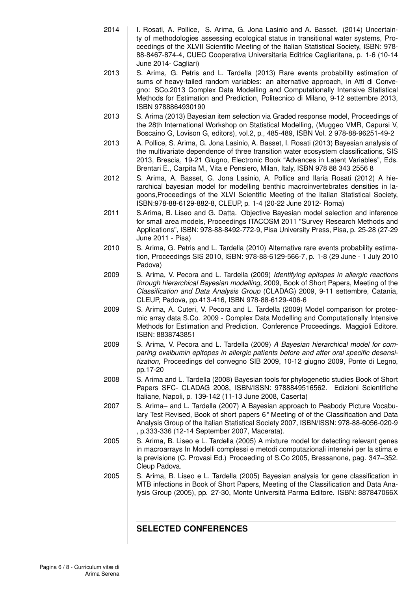- 2014 | I. Rosati, A. Pollice, S. Arima, G. Jona Lasinio and A. Basset. (2014) Uncertainty of methodologies assessing ecological status in transitional water systems, Proceedings of the XLVII Scientific Meeting of the Italian Statistical Society, ISBN: 978- 88-8467-874-4, CUEC Cooperativa Universitaria Editrice Cagliaritana, p. 1-6 (10-14 June 2014- Cagliari)
- 2013 S. Arima, G. Petris and L. Tardella (2013) Rare events probability estimation of sums of heavy-tailed random variables: an alternative approach, in Atti di Convegno: SCo.2013 Complex Data Modelling and Computationally Intensive Statistical Methods for Estimation and Prediction, Politecnico di Milano, 9-12 settembre 2013, ISBN 9788864930190
- 2013 | S. Arima (2013) Bayesian item selection via Graded response model, Proceedings of the 28th International Workshop on Statistical Modelling, (Muggeo VMR, Capursi V, Boscaino G, Lovison G, editors), vol.2, p., 485-489, ISBN Vol. 2 978-88-96251-49-2
- 2013 A. Pollice, S. Arima, G. Jona Lasinio, A. Basset, I. Rosati (2013) Bayesian analysis of the multivariate dependence of three transition water ecosystem classifications, SIS 2013, Brescia, 19-21 Giugno, Electronic Book "Advances in Latent Variables", Eds. Brentari E., Carpita M., Vita e Pensiero, Milan, Italy, ISBN 978 88 343 2556 8
- 2012 | S. Arima, A. Basset, G. Jona Lasinio, A. Pollice and Ilaria Rosati (2012) A hierarchical bayesian model for modelling benthic macroinvertebrates densities in lagoons,Proceedings of the XLVI Scientific Meeting of the Italian Statistical Society, ISBN:978-88-6129-882-8, CLEUP, p. 1-4 (20-22 June 2012- Roma)
- 2011 S.Arima, B. Liseo and G. Datta. Objective Bayesian model selection and inference for small area models, Proceedings ITACOSM 2011 "Survey Research Methods and Applications", ISBN: 978-88-8492-772-9, Pisa University Press, Pisa, p. 25-28 (27-29 June 2011 - Pisa)
- 2010 S. Arima, G. Petris and L. Tardella (2010) Alternative rare events probability estimation, Proceedings SIS 2010, ISBN: 978-88-6129-566-7, p. 1-8 (29 June - 1 July 2010 Padova)
- 2009 S. Arima, V. Pecora and L. Tardella (2009) *Identifying epitopes in allergic reactions through hierarchical Bayesian modelling*, 2009, Book of Short Papers, Meeting of the *Classification and Data Analysis Group* (CLADAG) 2009, 9-11 settembre, Catania, CLEUP, Padova, pp.413-416, ISBN 978-88-6129-406-6
- 2009 | S. Arima, A. Cuteri, V. Pecora and L. Tardella (2009) Model comparison for proteomic array data S.Co. 2009 - Complex Data Modelling and Computationally Intensive Methods for Estimation and Prediction. Conference Proceedings. Maggioli Editore. ISBN: 8838743851
- 2009 S. Arima, V. Pecora and L. Tardella (2009) *A Bayesian hierarchical model for comparing ovalbumin epitopes in allergic patients before and after oral specific desensitization*, Proceedings del convegno SIB 2009, 10-12 giugno 2009, Ponte di Legno, pp.17-20
- 2008 S. Arima and L. Tardella (2008) Bayesian tools for phylogenetic studies Book of Short Papers SFC- CLADAG 2008, ISBN/ISSN: 9788849516562. Edizioni Scientifiche Italiane, Napoli, p. 139-142 (11-13 June 2008, Caserta)
- 2007 S. Arima– and L. Tardella (2007) A Bayesian approach to Peabody Picture Vocabulary Test Revised, Book of short papers 6° Meeting of of the Classification and Data Analysis Group of the Italian Statistical Society 2007, ISBN/ISSN: 978-88-6056-020-9 , p.333-336 (12-14 September 2007, Macerata).
- 2005 | S. Arima, B. Liseo e L. Tardella (2005) A mixture model for detecting relevant genes in macroarrays In Modelli complessi e metodi computazionali intensivi per la stima e la previsione (C. Provasi Ed.) Proceeding of S.Co 2005, Bressanone, pag. 347–352. Cleup Padova.
- 2005 | S. Arima, B. Liseo e L. Tardella (2005) Bayesian analysis for gene classification in MTB infections in Book of Short Papers, Meeting of the Classification and Data Analysis Group (2005), pp. 27-30, Monte Università Parma Editore. ISBN: 887847066X

#### **SELECTED CONFERENCES**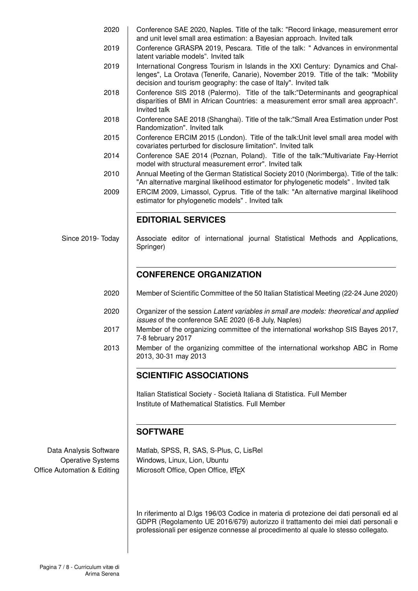- 2020 Conference SAE 2020, Naples. Title of the talk: "Record linkage, measurement error and unit level small area estimation: a Bayesian approach. Invited talk
- 2019 Conference GRASPA 2019, Pescara. Title of the talk: "Advances in environmental latent variable models". Invited talk
- 2019 | International Congress Tourism in Islands in the XXI Century: Dynamics and Challenges", La Orotava (Tenerife, Canarie), November 2019. Title of the talk: "Mobility decision and tourism geography: the case of Italy". Invited talk
- 2018 Conference SIS 2018 (Palermo). Title of the talk:"Determinants and geographical disparities of BMI in African Countries: a measurement error small area approach". Invited talk
- 2018 Conference SAE 2018 (Shanghai). Title of the talk:"Small Area Estimation under Post Randomization". Invited talk
- 2015 Conference ERCIM 2015 (London). Title of the talk: Unit level small area model with covariates perturbed for disclosure limitation". Invited talk
- 2014 Conference SAE 2014 (Poznan, Poland). Title of the talk:"Multivariate Fay-Herriot model with structural measurement error". Invited talk
- 2010 Annual Meeting of the German Statistical Society 2010 (Norimberga). Title of the talk: "An alternative marginal likelihood estimator for phylogenetic models" . Invited talk

2009 ERCIM 2009, Limassol, Cyprus. Title of the talk: "An alternative marginal likelihood estimator for phylogenetic models" . Invited talk

### **EDITORIAL SERVICES**

Since 2019- Today Associate editor of international journal Statistical Methods and Applications, Springer)

## **CONFERENCE ORGANIZATION**

- 2020 Member of Scientific Committee of the 50 Italian Statistical Meeting (22-24 June 2020)
- 2020 Organizer of the session *Latent variables in small are models: theoretical and applied issues* of the conference SAE 2020 (6-8 July, Naples)
- 2017 Member of the organizing committee of the international workshop SIS Bayes 2017, 7-8 february 2017
- 2013 | Member of the organizing committee of the international workshop ABC in Rome 2013, 30-31 may 2013

## **SCIENTIFIC ASSOCIATIONS**

Italian Statistical Society - Società Italiana di Statistica. Full Member Institute of Mathematical Statistics. Full Member

#### **SOFTWARE**

Data Analysis Software | Matlab, SPSS, R, SAS, S-Plus, C, LisRel Operative Systems | Windows, Linux, Lion, Ubuntu Office Automation & Editing | Microsoft Office, Open Office, LATEX

> In riferimento al D.lgs 196/03 Codice in materia di protezione dei dati personali ed al GDPR (Regolamento UE 2016/679) autorizzo il trattamento dei miei dati personali e professionali per esigenze connesse al procedimento al quale lo stesso collegato.